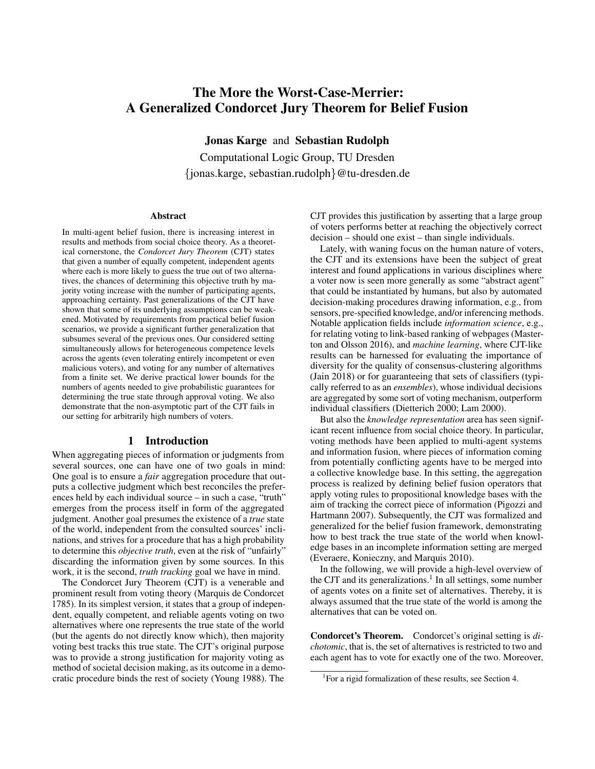# The More the Worst-Case-Merrier: A Generalized Condorcet Jury Theorem for Belief Fusion

Jonas Karge and Sebastian Rudolph

Computational Logic Group, TU Dresden {jonas.karge, sebastian.rudolph}@tu-dresden.de

#### Abstract

In multi-agent belief fusion, there is increasing interest in results and methods from social choice theory. As a theoretical cornerstone, the *Condorcet Jury Theorem* (CJT) states that given a number of equally competent, independent agents where each is more likely to guess the true out of two alternatives, the chances of determining this objective truth by majority voting increase with the number of participating agents, approaching certainty. Past generalizations of the CJT have shown that some of its underlying assumptions can be weakened. Motivated by requirements from practical belief fusion scenarios, we provide a significant further generalization that subsumes several of the previous ones. Our considered setting simultaneously allows for heterogeneous competence levels across the agents (even tolerating entirely incompetent or even malicious voters), and voting for any number of alternatives from a finite set. We derive practical lower bounds for the numbers of agents needed to give probabilistic guarantees for determining the true state through approval voting. We also demonstrate that the non-asymptotic part of the CJT fails in our setting for arbitrarily high numbers of voters.

#### 1 Introduction

When aggregating pieces of information or judgments from several sources, one can have one of two goals in mind: One goal is to ensure a *fair* aggregation procedure that outputs a collective judgment which best reconciles the preferences held by each individual source – in such a case, "truth" emerges from the process itself in form of the aggregated judgment. Another goal presumes the existence of a *true* state of the world, independent from the consulted sources' inclinations, and strives for a procedure that has a high probability to determine this *objective truth*, even at the risk of "unfairly" discarding the information given by some sources. In this work, it is the second, *truth tracking* goal we have in mind.

The Condorcet Jury Theorem (CJT) is a venerable and prominent result from voting theory [\(Marquis de Condorcet](#page-9-0) [1785\)](#page-9-0). In its simplest version, it states that a group of independent, equally competent, and reliable agents voting on two alternatives where one represents the true state of the world (but the agents do not directly know which), then majority voting best tracks this true state. The CJT's original purpose was to provide a strong justification for majority voting as method of societal decision making, as its outcome in a democratic procedure binds the rest of society [\(Young 1988\)](#page-9-1). The

CJT provides this justification by asserting that a large group of voters performs better at reaching the objectively correct decision – should one exist – than single individuals.

Lately, with waning focus on the human nature of voters, the CJT and its extensions have been the subject of great interest and found applications in various disciplines where a voter now is seen more generally as some "abstract agent" that could be instantiated by humans, but also by automated decision-making procedures drawing information, e.g., from sensors, pre-specified knowledge, and/or inferencing methods. Notable application fields include *information science*, e.g., for relating voting to link-based ranking of webpages [\(Master](#page-9-2)[ton and Olsson 2016\)](#page-9-2), and *machine learning*, where CJT-like results can be harnessed for evaluating the importance of diversity for the quality of consensus-clustering algorithms [\(Jain 2018\)](#page-9-3) or for guaranteeing that sets of classifiers (typically referred to as an *ensembles*), whose individual decisions are aggregated by some sort of voting mechanism, outperform individual classifiers [\(Dietterich 2000;](#page-9-4) [Lam 2000\)](#page-9-5).

But also the *knowledge representation* area has seen significant recent influence from social choice theory. In particular, voting methods have been applied to multi-agent systems and information fusion, where pieces of information coming from potentially conflicting agents have to be merged into a collective knowledge base. In this setting, the aggregation process is realized by defining belief fusion operators that apply voting rules to propositional knowledge bases with the aim of tracking the correct piece of information [\(Pigozzi and](#page-9-6) [Hartmann 2007\)](#page-9-6). Subsequently, the CJT was formalized and generalized for the belief fusion framework, demonstrating how to best track the true state of the world when knowledge bases in an incomplete information setting are merged [\(Everaere, Konieczny, and Marquis 2010\)](#page-9-7).

In the following, we will provide a high-level overview of the CJT and its generalizations.<sup>[1](#page-0-0)</sup> In all settings, some number of agents votes on a finite set of alternatives. Thereby, it is always assumed that the true state of the world is among the alternatives that can be voted on.

Condorcet's Theorem. Condorcet's original setting is *dichotomic*, that is, the set of alternatives is restricted to two and each agent has to vote for exactly one of the two. Moreover,

<span id="page-0-0"></span><sup>&</sup>lt;sup>1</sup>For a rigid formalization of these results, see Section [4.](#page-2-0)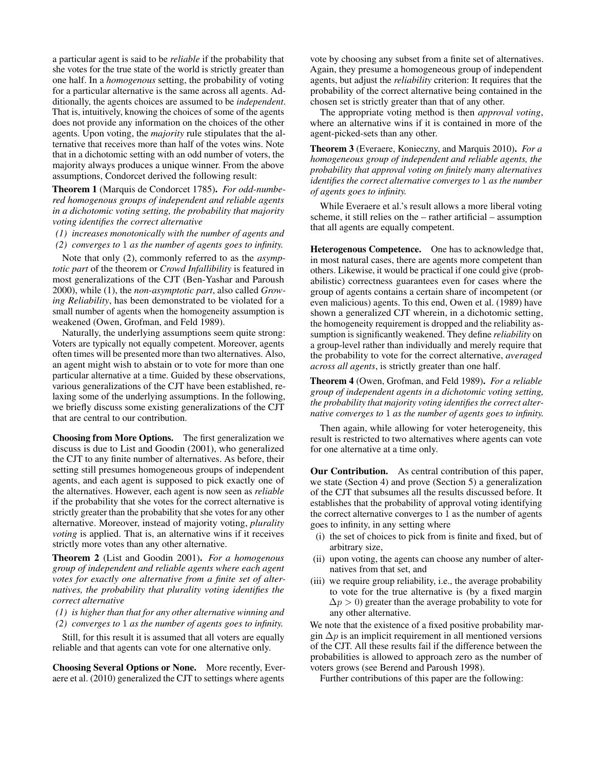a particular agent is said to be *reliable* if the probability that she votes for the true state of the world is strictly greater than one half. In a *homogenous* setting, the probability of voting for a particular alternative is the same across all agents. Additionally, the agents choices are assumed to be *independent*. That is, intuitively, knowing the choices of some of the agents does not provide any information on the choices of the other agents. Upon voting, the *majority* rule stipulates that the alternative that receives more than half of the votes wins. Note that in a dichotomic setting with an odd number of voters, the majority always produces a unique winner. From the above assumptions, Condorcet derived the following result:

Theorem 1 [\(Marquis de Condorcet 1785\)](#page-9-0). *For odd-numbered homogenous groups of independent and reliable agents in a dichotomic voting setting, the probability that majority voting identifies the correct alternative*

*(1) increases monotonically with the number of agents and*

*(2) converges to* 1 *as the number of agents goes to infinity.*

Note that only (2), commonly referred to as the *asymptotic part* of the theorem or *Crowd Infallibility* is featured in most generalizations of the CJT [\(Ben-Yashar and Paroush](#page-9-8) [2000\)](#page-9-8), while (1), the *non-asymptotic part*, also called *Growing Reliability*, has been demonstrated to be violated for a small number of agents when the homogeneity assumption is weakened [\(Owen, Grofman, and Feld 1989\)](#page-9-9).

Naturally, the underlying assumptions seem quite strong: Voters are typically not equally competent. Moreover, agents often times will be presented more than two alternatives. Also, an agent might wish to abstain or to vote for more than one particular alternative at a time. Guided by these observations, various generalizations of the CJT have been established, relaxing some of the underlying assumptions. In the following, we briefly discuss some existing generalizations of the CJT that are central to our contribution.

Choosing from More Options. The first generalization we discuss is due to List and Goodin (2001), who generalized the CJT to any finite number of alternatives. As before, their setting still presumes homogeneous groups of independent agents, and each agent is supposed to pick exactly one of the alternatives. However, each agent is now seen as *reliable* if the probability that she votes for the correct alternative is strictly greater than the probability that she votes for any other alternative. Moreover, instead of majority voting, *plurality voting* is applied. That is, an alternative wins if it receives strictly more votes than any other alternative.

Theorem 2 [\(List and Goodin 2001\)](#page-9-10). *For a homogenous group of independent and reliable agents where each agent votes for exactly one alternative from a finite set of alternatives, the probability that plurality voting identifies the correct alternative*

*(1) is higher than that for any other alternative winning and (2) converges to* 1 *as the number of agents goes to infinity.*

Still, for this result it is assumed that all voters are equally reliable and that agents can vote for one alternative only.

Choosing Several Options or None. More recently, Everaere et al. (2010) generalized the CJT to settings where agents vote by choosing any subset from a finite set of alternatives. Again, they presume a homogeneous group of independent agents, but adjust the *reliability* criterion: It requires that the probability of the correct alternative being contained in the chosen set is strictly greater than that of any other.

The appropriate voting method is then *approval voting*, where an alternative wins if it is contained in more of the agent-picked-sets than any other.

Theorem 3 [\(Everaere, Konieczny, and Marquis 2010\)](#page-9-7). *For a homogeneous group of independent and reliable agents, the probability that approval voting on finitely many alternatives identifies the correct alternative converges to* 1 *as the number of agents goes to infinity.*

While Everaere et al.'s result allows a more liberal voting scheme, it still relies on the – rather artificial – assumption that all agents are equally competent.

Heterogenous Competence. One has to acknowledge that, in most natural cases, there are agents more competent than others. Likewise, it would be practical if one could give (probabilistic) correctness guarantees even for cases where the group of agents contains a certain share of incompetent (or even malicious) agents. To this end, Owen et al. (1989) have shown a generalized CJT wherein, in a dichotomic setting, the homogeneity requirement is dropped and the reliability assumption is significantly weakened. They define *reliability* on a group-level rather than individually and merely require that the probability to vote for the correct alternative, *averaged across all agents*, is strictly greater than one half.

Theorem 4 [\(Owen, Grofman, and Feld 1989\)](#page-9-9). *For a reliable group of independent agents in a dichotomic voting setting, the probability that majority voting identifies the correct alternative converges to* 1 *as the number of agents goes to infinity.*

Then again, while allowing for voter heterogeneity, this result is restricted to two alternatives where agents can vote for one alternative at a time only.

Our Contribution. As central contribution of this paper, we state (Section [4\)](#page-2-0) and prove (Section [5\)](#page-3-0) a generalization of the CJT that subsumes all the results discussed before. It establishes that the probability of approval voting identifying the correct alternative converges to 1 as the number of agents goes to infinity, in any setting where

- (i) the set of choices to pick from is finite and fixed, but of arbitrary size,
- (ii) upon voting, the agents can choose any number of alternatives from that set, and
- (iii) we require group reliability, i.e., the average probability to vote for the true alternative is (by a fixed margin  $\Delta p > 0$ ) greater than the average probability to vote for any other alternative.

We note that the existence of a fixed positive probability margin  $\Delta p$  is an implicit requirement in all mentioned versions of the CJT. All these results fail if the difference between the probabilities is allowed to approach zero as the number of voters grows (see [Berend and Paroush 1998\)](#page-9-11).

Further contributions of this paper are the following: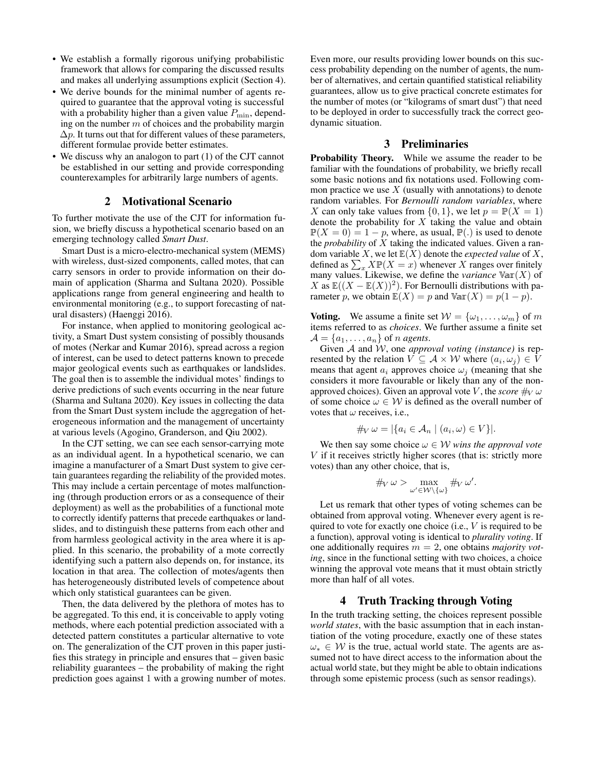- We establish a formally rigorous unifying probabilistic framework that allows for comparing the discussed results and makes all underlying assumptions explicit (Section [4\)](#page-2-0).
- We derive bounds for the minimal number of agents required to guarantee that the approval voting is successful with a probability higher than a given value  $P_{\text{min}}$ , depending on the number  $m$  of choices and the probability margin  $\Delta p$ . It turns out that for different values of these parameters, different formulae provide better estimates.
- We discuss why an analogon to part (1) of the CJT cannot be established in our setting and provide corresponding counterexamples for arbitrarily large numbers of agents.

### 2 Motivational Scenario

To further motivate the use of the CJT for information fusion, we briefly discuss a hypothetical scenario based on an emerging technology called *Smart Dust*.

Smart Dust is a micro-electro-mechanical system (MEMS) with wireless, dust-sized components, called motes, that can carry sensors in order to provide information on their domain of application [\(Sharma and Sultana 2020\)](#page-9-12). Possible applications range from general engineering and health to environmental monitoring (e.g., to support forecasting of natural disasters) [\(Haenggi 2016\)](#page-9-13).

For instance, when applied to monitoring geological activity, a Smart Dust system consisting of possibly thousands of motes [\(Nerkar and Kumar 2016\)](#page-9-14), spread across a region of interest, can be used to detect patterns known to precede major geological events such as earthquakes or landslides. The goal then is to assemble the individual motes' findings to derive predictions of such events occurring in the near future [\(Sharma and Sultana 2020\)](#page-9-12). Key issues in collecting the data from the Smart Dust system include the aggregation of heterogeneous information and the management of uncertainty at various levels [\(Agogino, Granderson, and Qiu 2002\)](#page-9-15).

In the CJT setting, we can see each sensor-carrying mote as an individual agent. In a hypothetical scenario, we can imagine a manufacturer of a Smart Dust system to give certain guarantees regarding the reliability of the provided motes. This may include a certain percentage of motes malfunctioning (through production errors or as a consequence of their deployment) as well as the probabilities of a functional mote to correctly identify patterns that precede earthquakes or landslides, and to distinguish these patterns from each other and from harmless geological activity in the area where it is applied. In this scenario, the probability of a mote correctly identifying such a pattern also depends on, for instance, its location in that area. The collection of motes/agents then has heterogeneously distributed levels of competence about which only statistical guarantees can be given.

Then, the data delivered by the plethora of motes has to be aggregated. To this end, it is conceivable to apply voting methods, where each potential prediction associated with a detected pattern constitutes a particular alternative to vote on. The generalization of the CJT proven in this paper justifies this strategy in principle and ensures that – given basic reliability guarantees – the probability of making the right prediction goes against 1 with a growing number of motes. Even more, our results providing lower bounds on this success probability depending on the number of agents, the number of alternatives, and certain quantified statistical reliability guarantees, allow us to give practical concrete estimates for the number of motes (or "kilograms of smart dust") that need to be deployed in order to successfully track the correct geodynamic situation.

# 3 Preliminaries

Probability Theory. While we assume the reader to be familiar with the foundations of probability, we briefly recall some basic notions and fix notations used. Following common practice we use  $X$  (usually with annotations) to denote random variables. For *Bernoulli random variables*, where X can only take values from  $\{0, 1\}$ , we let  $p = \mathbb{P}(X = 1)$ denote the probability for  $X$  taking the value and obtain  $\mathbb{P}(X = 0) = 1 - p$ , where, as usual,  $\mathbb{P}(\cdot)$  is used to denote the *probability* of X taking the indicated values. Given a random variable X, we let  $E(X)$  denote the *expected value* of X, defined as  $\sum_{x} X \mathbb{P}(X = x)$  whenever X ranges over finitely many values. Likewise, we define the *variance*  $Var(X)$  of X as  $\mathbb{E}((X - \mathbb{E}(X))^2)$ . For Bernoulli distributions with parameter p, we obtain  $\mathbb{E}(X) = p$  and  $\mathbb{Var}(X) = p(1 - p)$ .

**Voting.** We assume a finite set  $W = {\omega_1, \dots, \omega_m}$  of m items referred to as *choices*. We further assume a finite set  $\mathcal{A} = \{a_1, \ldots, a_n\}$  of *n agents*.

Given A and W, one *approval voting (instance)* is represented by the relation  $V \subseteq \mathcal{A} \times \mathcal{W}$  where  $(a_i, \omega_j) \in V$ means that agent  $a_i$  approves choice  $\omega_i$  (meaning that she considers it more favourable or likely than any of the nonapproved choices). Given an approval vote V, the *score*  $\#_{V} \omega$ of some choice  $\omega \in \mathcal{W}$  is defined as the overall number of votes that  $\omega$  receives, i.e.,

$$
\#_V \omega = |\{a_i \in A_n \mid (a_i, \omega) \in V\}|.
$$

We then say some choice  $\omega \in W$  *wins the approval vote* V if it receives strictly higher scores (that is: strictly more votes) than any other choice, that is,

$$
\#_V \omega > \max_{\omega' \in \mathcal{W} \setminus \{\omega\}} \#_V \omega'.
$$

Let us remark that other types of voting schemes can be obtained from approval voting. Whenever every agent is required to vote for exactly one choice (i.e.,  $V$  is required to be a function), approval voting is identical to *plurality voting*. If one additionally requires m = 2, one obtains *majority voting*, since in the functional setting with two choices, a choice winning the approval vote means that it must obtain strictly more than half of all votes.

## 4 Truth Tracking through Voting

<span id="page-2-0"></span>In the truth tracking setting, the choices represent possible *world states*, with the basic assumption that in each instantiation of the voting procedure, exactly one of these states  $\omega_* \in \mathcal{W}$  is the true, actual world state. The agents are assumed not to have direct access to the information about the actual world state, but they might be able to obtain indications through some epistemic process (such as sensor readings).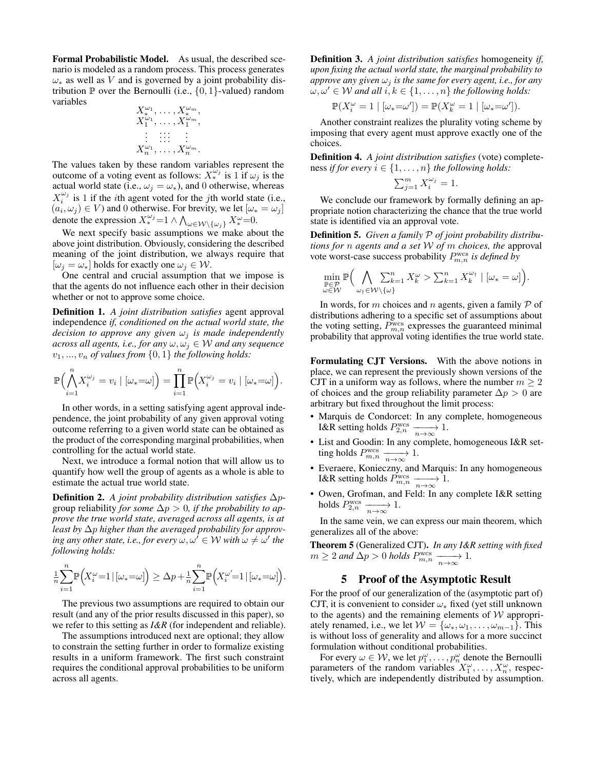Formal Probabilistic Model. As usual, the described scenario is modeled as a random process. This process generates  $\omega_*$  as well as V and is governed by a joint probability distribution  $\mathbb P$  over the Bernoulli (i.e.,  $\{0,1\}$ -valued) random variables

$$
X_{*}^{\omega_{1}},\ldots,X_{*}^{\omega_{m}},
$$
  
\n
$$
X_{1}^{\omega_{1}},\ldots,X_{1}^{\omega_{m}},
$$
  
\n
$$
\vdots
$$
  
\n
$$
\vdots
$$
  
\n
$$
X_{n}^{\omega_{1}},\ldots,X_{n}^{\omega_{m}}.
$$

The values taken by these random variables represent the outcome of a voting event as follows:  $X_*^{\omega_j}$  is 1 if  $\omega_j$  is the actual world state (i.e.,  $\omega_j = \omega_*$ ), and 0 otherwise, whereas  $X_i^{\omega_j}$  is 1 if the *i*th agent voted for the *j*th world state (i.e.,  $(a_i, \omega_j) \in V$ ) and 0 otherwise. For brevity, we let  $[\omega_* = \omega_j]$ denote the expression  $X_*^{\omega_j} = 1 \wedge \bigwedge_{\omega \in \mathcal{W} \setminus \{\omega_j\}} X_*^{\omega} = 0$ .

We next specify basic assumptions we make about the above joint distribution. Obviously, considering the described meaning of the joint distribution, we always require that  $[\omega_j = \omega_*]$  holds for exactly one  $\omega_j \in \mathcal{W}$ .

One central and crucial assumption that we impose is that the agents do not influence each other in their decision whether or not to approve some choice.

Definition 1. *A joint distribution satisfies* agent approval independence *if, conditioned on the actual world state, the decision to approve any given*  $\omega_j$  *is made independently across all agents, i.e., for any*  $\omega, \omega_j \in W$  *and any sequence*  $v_1, \ldots, v_n$  *of values from*  $\{0, 1\}$  *the following holds:* 

$$
\mathbb{P}\Big(\bigwedge_{i=1}^n X_i^{\omega_j} = v_i \mid [\omega_* = \omega]\Big) = \prod_{i=1}^n \mathbb{P}\Big(X_i^{\omega_j} = v_i \mid [\omega_* = \omega]\Big).
$$

In other words, in a setting satisfying agent approval independence, the joint probability of any given approval voting outcome referring to a given world state can be obtained as the product of the corresponding marginal probabilities, when controlling for the actual world state.

Next, we introduce a formal notion that will allow us to quantify how well the group of agents as a whole is able to estimate the actual true world state.

Definition 2. *A joint probability distribution satisfies* ∆pgroup reliability *for some*  $\Delta p > 0$ *, if the probability to approve the true world state, averaged across all agents, is at least by* ∆p *higher than the averaged probability for approv-* $\omega' \in \mathcal{W}$  with  $\omega \neq \omega'$  the *following holds:*

$$
\frac{1}{n}\sum_{i=1}^n \mathbb{P}\Big(X_i^{\omega} = 1 \,|\, [\omega_* = \omega]\Big) \geq \Delta p + \frac{1}{n}\sum_{i=1}^n \mathbb{P}\Big(X_i^{\omega'} = 1 \,|\, [\omega_* = \omega]\Big).
$$

The previous two assumptions are required to obtain our result (and any of the prior results discussed in this paper), so we refer to this setting as *I&R* (for independent and reliable).

The assumptions introduced next are optional; they allow to constrain the setting further in order to formalize existing results in a uniform framework. The first such constraint requires the conditional approval probabilities to be uniform across all agents.

Definition 3. *A joint distribution satisfies* homogeneity *if, upon fixing the actual world state, the marginal probability to approve any given*  $\omega_i$  *is the same for every agent, i.e., for any*  $\omega, \omega' \in \mathcal{W}$  and all  $i, k \in \{1, \ldots, n\}$  the following holds:

$$
\mathbb{P}(X_i^{\omega}=1\mid [\omega_*=\omega'])=\mathbb{P}(X_k^{\omega}=1\mid [\omega_*=\omega']).
$$

Another constraint realizes the plurality voting scheme by imposing that every agent must approve exactly one of the choices.

Definition 4. *A joint distribution satisfies* (vote) completeness *if for every*  $i \in \{1, \ldots, n\}$  *the following holds:* 

$$
\sum_{j=1}^{m} X_i^{\omega_j} = 1.
$$

We conclude our framework by formally defining an appropriate notion characterizing the chance that the true world state is identified via an approval vote.

Definition 5. *Given a family* P *of joint probability distributions for* n *agents and a set* W *of* m *choices, the* approval vote worst-case success probability  $P_{m,n}^{\text{wcs}}$  is defined by

$$
\min_{\substack{\mathbb{P}\in\mathcal{P}\\ \omega\in\mathcal{W}}}\mathbb{P}\Big(\bigwedge_{\omega_1\in\mathcal{W}\backslash\{\omega\}}\sum_{k=1}^n X_k^{\omega} > \sum_{k=1}^n X_k^{\omega_1} \mid [\omega_* = \omega]\Big).
$$

In words, for m choices and n agents, given a family  $P$  of distributions adhering to a specific set of assumptions about the voting setting,  $P_{m,n}^{\text{wcs}}$  expresses the guaranteed minimal probability that approval voting identifies the true world state.

Formulating CJT Versions. With the above notions in place, we can represent the previously shown versions of the CJT in a uniform way as follows, where the number  $m \geq 2$ of choices and the group reliability parameter  $\Delta p > 0$  are arbitrary but fixed throughout the limit process:

- [Marquis de Condorcet:](#page-9-0) In any complete, homogeneous I&R setting holds  $P_{2,n}^{\text{wcs}} \xrightarrow[n \to \infty]{} 1$ .
- [List and Goodin:](#page-9-10) In any complete, homogeneous I&R setting holds  $P_{m,n}^{\text{wcs}} \xrightarrow[n \to \infty]{} 1.$
- [Everaere, Konieczny, and Marquis:](#page-9-7) In any homogeneous I&R setting holds  $P_{m,n}^{\text{wcs}} \xrightarrow[n \to \infty]{} 1$ .
- [Owen, Grofman, and Feld:](#page-9-9) In any complete I&R setting holds  $P_{2,n}^{\text{wcs}} \xrightarrow[n \to \infty]{} 1.$

In the same vein, we can express our main theorem, which generalizes all of the above:

Theorem 5 (Generalized CJT). *In any I&R setting with fixed*  $m \geq 2$  and  $\Delta p > 0$  holds  $P_{m,n}^{\text{wcs}} \xrightarrow[n \to \infty]{} 1$ .

### 5 Proof of the Asymptotic Result

<span id="page-3-0"></span>For the proof of our generalization of the (asymptotic part of) CJT, it is convenient to consider  $\omega_*$  fixed (yet still unknown to the agents) and the remaining elements of  $W$  appropriately renamed, i.e., we let  $W = {\omega_*, \omega_1, \dots, \omega_{m-1}}$ . This is without loss of generality and allows for a more succinct formulation without conditional probabilities.

For every  $\omega \in \mathcal{W}$ , we let  $p_1^{\omega}, \ldots, p_n^{\omega}$  denote the Bernoulli parameters of the random variables  $X_1^{\omega}, \ldots, X_n^{\omega}$ , respectively, which are independently distributed by assumption.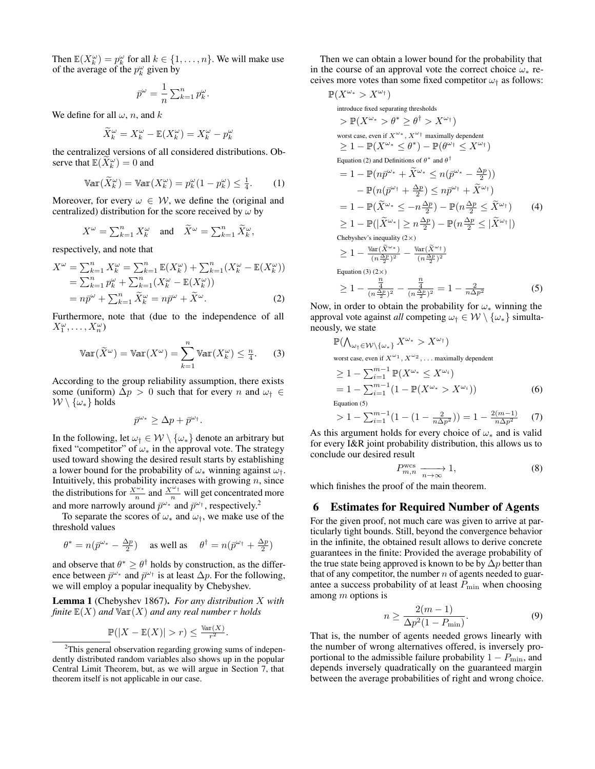Then  $\mathbb{E}(X_k^{\omega}) = p_k^{\omega}$  for all  $k \in \{1, ..., n\}$ . We will make use of the average of the  $p_k^{\omega}$  given by

$$
\bar{p}^{\omega} = \frac{1}{n} \sum_{k=1}^{n} p_k^{\omega}.
$$

We define for all  $\omega$ , n, and k

$$
\widetilde{X}_k^{\omega} = X_k^{\omega} - \mathbb{E}(X_k^{\omega}) = X_k^{\omega} - p_k^{\omega}
$$

the centralized versions of all considered distributions. Observe that  $\mathbb{E}(\widetilde{X}_k^{\omega}) = 0$  and

$$
\text{Var}(\widetilde{X}_k^{\omega}) = \text{Var}(X_k^{\omega}) = p_k^{\omega}(1 - p_k^{\omega}) \le \frac{1}{4}.
$$
 (1)

Moreover, for every  $\omega \in \mathcal{W}$ , we define the (original and centralized) distribution for the score received by  $\omega$  by

$$
X^{\omega} = \sum_{k=1}^{n} X_k^{\omega} \quad \text{and} \quad \widetilde{X}^{\omega} = \sum_{k=1}^{n} \widetilde{X}_k^{\omega},
$$

respectively, and note that

$$
X^{\omega} = \sum_{k=1}^{n} X_k^{\omega} = \sum_{k=1}^{n} \mathbb{E}(X_k^{\omega}) + \sum_{k=1}^{n} (X_k^{\omega} - \mathbb{E}(X_k^{\omega}))
$$
  
=  $\sum_{k=1}^{n} p_k^{\omega} + \sum_{k=1}^{n} (X_k^{\omega} - \mathbb{E}(X_k^{\omega}))$   
=  $n\bar{p}^{\omega} + \sum_{k=1}^{n} \widetilde{X}_k^{\omega} = n\bar{p}^{\omega} + \widetilde{X}^{\omega}.$  (2)

Furthermore, note that (due to the independence of all  $X_1^{\omega}, \ldots, X_n^{\omega}$ 

$$
\text{Var}(\widetilde{X}^{\omega}) = \text{Var}(X^{\omega}) = \sum_{k=1}^{n} \text{Var}(X_{k}^{\omega}) \le \frac{n}{4}.
$$
 (3)

According to the group reliability assumption, there exists some (uniform)  $\Delta p > 0$  such that for every n and  $\omega_{\dagger} \in$  $W \setminus {\omega_*}$  holds

$$
\bar{p}^{\omega_*} \geq \Delta p + \bar{p}^{\omega_\dagger}.
$$

In the following, let  $\omega_{\dagger} \in \mathcal{W} \setminus \{\omega_{*}\}\$  denote an arbitrary but fixed "competitor" of  $\omega_*$  in the approval vote. The strategy used toward showing the desired result starts by establishing a lower bound for the probability of  $\omega_*$  winning against  $\omega_{\dagger}$ . Intuitively, this probability increases with growing  $n$ , since the distributions for  $\frac{X^{\omega_*}}{n}$  and  $\frac{X^{\omega_+}}{n}$  will get concentrated more and more narrowly around  $\bar{p}^{\omega_*}$  and  $\bar{p}^{\omega_{\dagger}}$ , respectively.<sup>[2](#page-4-0)</sup>

To separate the scores of  $\omega_*$  and  $\omega_{\dagger}$ , we make use of the threshold values

$$
\theta^* = n(\bar{p}^{\omega_*} - \frac{\Delta p}{2}) \quad \text{as well as} \quad \theta^\dagger = n(\bar{p}^{\omega_\dagger} + \frac{\Delta p}{2})
$$

and observe that  $\theta^* \geq \theta^{\dagger}$  holds by construction, as the difference between  $\bar{p}^{\omega*}$  and  $\bar{p}^{\omega\dagger}$  is at least  $\Delta p$ . For the following, we will employ a popular inequality by Chebyshev.

Lemma 1 [\(Chebyshev 1867\)](#page-9-16). *For any distribution* X *with finite*  $E(X)$  *and*  $Var(X)$  *and any real number r holds* 

$$
\mathbb{P}(|X - \mathbb{E}(X)| > r) \le \frac{\text{Var}(X)}{r^2}.
$$

Then we can obtain a lower bound for the probability that in the course of an approval vote the correct choice  $\omega_*$  receives more votes than some fixed competitor  $\omega_{\dagger}$  as follows:

<span id="page-4-5"></span>
$$
\mathbb{P}(X^{\omega_{*}} > X^{\omega_{\dagger}})
$$
  
introduce fixed separating thresholds  

$$
> \mathbb{P}(X^{\omega_{*}} > \theta^{*} \geq \theta^{\dagger} > X^{\omega_{\dagger}})
$$
  
worst case, even if  $X^{\omega_{*}}$ ,  $X^{\omega_{\dagger}}$  maximally dependent  

$$
\geq 1 - \mathbb{P}(X^{\omega_{*}} \leq \theta^{*}) - \mathbb{P}(\theta^{\omega_{\dagger}} \leq X^{\omega_{\dagger}})
$$
  
Equation (2) and Definitions of  $\theta^{*}$  and  $\theta^{\dagger}$   

$$
= 1 - \mathbb{P}(n\bar{p}^{\omega_{*}} + \tilde{X}^{\omega_{*}} \leq n(\bar{p}^{\omega_{*}} - \frac{\Delta p}{2}))
$$

$$
- \mathbb{P}(n(\bar{p}^{\omega_{\dagger}} + \frac{\Delta p}{2}) \leq n\bar{p}^{\omega_{\dagger}} + \tilde{X}^{\omega_{\dagger}})
$$

$$
= 1 - \mathbb{P}(\tilde{X}^{\omega_{*}} \leq -n\frac{\Delta p}{2}) - \mathbb{P}(n\frac{\Delta p}{2} \leq \tilde{X}^{\omega_{\dagger}})
$$
(4)  

$$
\geq 1 - \mathbb{P}(|\tilde{X}^{\omega_{*}}| \geq n\frac{\Delta p}{2}) - \mathbb{P}(n\frac{\Delta p}{2} \leq |\tilde{X}^{\omega_{\dagger}}|)
$$
  
Chebyshev's inequality (2×)  

$$
\geq 1 - \frac{\text{Var}(\tilde{X}^{\omega_{*}})}{(n\frac{\Delta p}{2})^{2}} - \frac{\text{Var}(\tilde{X}^{\omega_{\dagger}})}{(n\frac{\Delta p}{2})^{2}} = 1 - \frac{2}{n\Delta p^{2}}
$$
(5)  

$$
\geq 1 - \frac{\frac{n}{4}}{(n\frac{\Delta p}{2})^{2}} - \frac{\frac{n}{4}}{(n\frac{\Delta p}{2})^{2}} = 1 - \frac{2}{n\Delta p^{2}}
$$

<span id="page-4-2"></span><span id="page-4-1"></span>Now, in order to obtain the probability for  $\omega_*$  winning the approval vote against *all* competing  $\omega_{\dagger} \in \mathcal{W} \setminus \{\omega_{*}\}\$  simultaneously, we state

<span id="page-4-3"></span>
$$
\mathbb{P}(\bigwedge_{\omega_{\dagger} \in \mathcal{W} \setminus \{\omega_*\}} X^{\omega_*} > X^{\omega_{\dagger}})
$$
\n
$$
\text{worst case, even if } X^{\omega_1}, X^{\omega_2}, \dots \text{ maximally dependent}
$$
\n
$$
\geq 1 - \sum_{i=1}^{m-1} \mathbb{P}(X^{\omega_*} \leq X^{\omega_i})
$$
\n
$$
= 1 - \sum_{i=1}^{m-1} \left(1 - \mathbb{P}(X^{\omega_*} > X^{\omega_i})\right) \tag{6}
$$

Equation [\(5\)](#page-4-3)

> 1 - 
$$
\sum_{i=1}^{m-1} (1 - (1 - \frac{2}{n\Delta p^2})) = 1 - \frac{2(m-1)}{n\Delta p^2}
$$
 (7)

As this argument holds for every choice of  $\omega_*$  and is valid for every I&R joint probability distribution, this allows us to conclude our desired result

<span id="page-4-6"></span>
$$
P_{m,n}^{\text{wcs}} \xrightarrow[n \to \infty]{} 1,\tag{8}
$$

which finishes the proof of the main theorem.

# 6 Estimates for Required Number of Agents

For the given proof, not much care was given to arrive at particularly tight bounds. Still, beyond the convergence behavior in the infinite, the obtained result allows to derive concrete guarantees in the finite: Provided the average probability of the true state being approved is known to be by  $\Delta p$  better than that of any competitor, the number  $n$  of agents needed to guarantee a success probability of at least  $P_{\text{min}}$  when choosing among  $m$  options is

<span id="page-4-4"></span>
$$
n \ge \frac{2(m-1)}{\Delta p^2 (1 - P_{\min})}.\tag{9}
$$

That is, the number of agents needed grows linearly with the number of wrong alternatives offered, is inversely proportional to the admissible failure probability  $1 - P_{\text{min}}$ , and depends inversely quadratically on the guaranteed margin between the average probabilities of right and wrong choice.

<span id="page-4-0"></span><sup>&</sup>lt;sup>2</sup>This general observation regarding growing sums of independently distributed random variables also shows up in the popular Central Limit Theorem, but, as we will argue in Section [7,](#page-7-0) that theorem itself is not applicable in our case.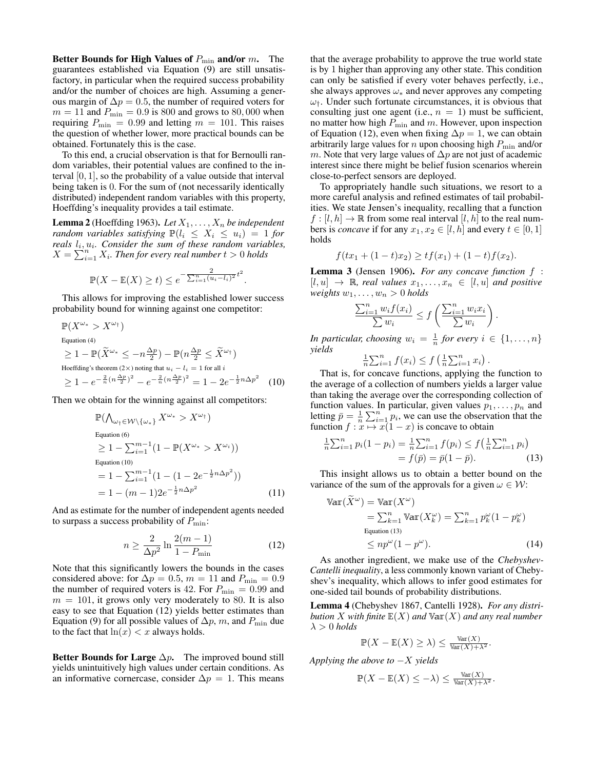Better Bounds for High Values of  $P_{\min}$  and/or m. The guarantees established via Equation [\(9\)](#page-4-4) are still unsatisfactory, in particular when the required success probability and/or the number of choices are high. Assuming a generous margin of  $\Delta p = 0.5$ , the number of required voters for  $m = 11$  and  $P_{\text{min}} = 0.9$  is 800 and grows to 80,000 when requiring  $P_{\text{min}} = 0.99$  and letting  $m = 101$ . This raises the question of whether lower, more practical bounds can be obtained. Fortunately this is the case.

To this end, a crucial observation is that for Bernoulli random variables, their potential values are confined to the interval [0, 1], so the probability of a value outside that interval being taken is 0. For the sum of (not necessarily identically distributed) independent random variables with this property, Hoeffding's inequality provides a tail estimate.

**Lemma 2** [\(Hoeffding 1963\)](#page-9-17). Let  $X_1, \ldots, X_n$  be independent *random variables satisfying*  $\mathbb{P}(l_i \leq X_i \leq u_i) = 1$  *for* reals  $l_i, u_i$ . Consider the sum of these random variables,  $X = \sum_{i=1}^{n} X_i$ . Then for every real number  $t > 0$  holds

$$
\mathbb{P}(X - \mathbb{E}(X) \ge t) \le e^{-\frac{2}{\sum_{i=1}^{n} (u_i - l_i)^2} t^2}
$$

.

This allows for improving the established lower success probability bound for winning against one competitor:

$$
\mathbb{P}(X^{\omega_{*}} > X^{\omega_{\dagger}})
$$
  
\nEquation (4)  
\n
$$
\geq 1 - \mathbb{P}(\widetilde{X}^{\omega_{*}} \leq -n\frac{\Delta p}{2}) - \mathbb{P}(n\frac{\Delta p}{2} \leq \widetilde{X}^{\omega_{\dagger}})
$$
  
\nHoeffding's theorem (2×) noting that  $u_{i} - l_{i} = 1$  for all  $i$   
\n
$$
\geq 1 - e^{-\frac{2}{n}(n\frac{\Delta p}{2})^{2}} - e^{-\frac{2}{n}(n\frac{\Delta p}{2})^{2}} = 1 - 2e^{-\frac{1}{2}n\Delta p^{2}}
$$
(10)

Then we obtain for the winning against all competitors:

$$
\mathbb{P}(\bigwedge_{\omega_{\dagger} \in \mathcal{W} \setminus \{\omega_{*}\}} X^{\omega_{*}} > X^{\omega_{\dagger}})
$$
\nEquation (6)  
\n
$$
\geq 1 - \sum_{i=1}^{m-1} (1 - \mathbb{P}(X^{\omega_{*}} > X^{\omega_{i}}))
$$
\nEquation (10)  
\n
$$
= 1 - \sum_{i=1}^{m-1} (1 - (1 - 2e^{-\frac{1}{2}n\Delta p^{2}}))
$$
\n
$$
= 1 - (m - 1)2e^{-\frac{1}{2}n\Delta p^{2}}
$$
\n(11)

And as estimate for the number of independent agents needed to surpass a success probability of  $P_{\text{min}}$ :

$$
n \ge \frac{2}{\Delta p^2} \ln \frac{2(m-1)}{1 - P_{\min}} \tag{12}
$$

Note that this significantly lowers the bounds in the cases considered above: for  $\Delta p = 0.5$ ,  $m = 11$  and  $P_{\text{min}} = 0.9$ the number of required voters is 42. For  $P_{\text{min}} = 0.99$  and  $m = 101$ , it grows only very moderately to 80. It is also easy to see that Equation [\(12\)](#page-5-1) yields better estimates than Equation [\(9\)](#page-4-4) for all possible values of  $\Delta p$ , m, and  $P_{\min}$  due to the fact that  $ln(x) < x$  always holds.

Better Bounds for Large  $\Delta p$ . The improved bound still yields unintuitively high values under certain conditions. As an informative cornercase, consider  $\Delta p = 1$ . This means

that the average probability to approve the true world state is by 1 higher than approving any other state. This condition can only be satisfied if every voter behaves perfectly, i.e., she always approves  $\omega_*$  and never approves any competing  $\omega_{\uparrow}$ . Under such fortunate circumstances, it is obvious that consulting just one agent (i.e.,  $n = 1$ ) must be sufficient, no matter how high  $P_{\text{min}}$  and m. However, upon inspection of Equation [\(12\)](#page-5-1), even when fixing  $\Delta p = 1$ , we can obtain arbitrarily large values for  $n$  upon choosing high  $P_{\text{min}}$  and/or m. Note that very large values of  $\Delta p$  are not just of academic interest since there might be belief fusion scenarios wherein close-to-perfect sensors are deployed.

To appropriately handle such situations, we resort to a more careful analysis and refined estimates of tail probabilities. We state Jensen's inequality, recalling that a function  $f : [l, h] \to \mathbb{R}$  from some real interval  $[l, h]$  to the real numbers is *concave* if for any  $x_1, x_2 \in [l, h]$  and every  $t \in [0, 1]$ holds

$$
f(tx_1 + (1-t)x_2) \ge tf(x_1) + (1-t)f(x_2).
$$

Lemma 3 [\(Jensen 1906\)](#page-9-18). *For any concave function* f :  $[l, u] \rightarrow \mathbb{R}$ , real values  $x_1, \ldots, x_n \in [l, u]$  and positive *weights*  $w_1, \ldots, w_n > 0$  *holds* 

$$
\frac{\sum_{i=1}^{n} w_i f(x_i)}{\sum w_i} \le f\left(\frac{\sum_{i=1}^{n} w_i x_i}{\sum w_i}\right).
$$

*In particular, choosing*  $w_i = \frac{1}{n}$  *for every*  $i \in \{1, ..., n\}$ *yields*

<span id="page-5-2"></span>
$$
\frac{1}{n}\sum_{i=1}^n f(x_i) \leq f\left(\frac{1}{n}\sum_{i=1}^n x_i\right).
$$

<span id="page-5-0"></span>That is, for concave functions, applying the function to the average of a collection of numbers yields a larger value than taking the average over the corresponding collection of function values. In particular, given values  $p_1, \ldots, p_n$  and letting  $\bar{p} = \frac{1}{n} \sum_{i=1}^{n} p_i$ , we can use the observation that the function  $f: x \mapsto x(1-x)$  is concave to obtain

$$
\frac{1}{n}\sum_{i=1}^{n}p_i(1-p_i) = \frac{1}{n}\sum_{i=1}^{n}f(p_i) \le f\left(\frac{1}{n}\sum_{i=1}^{n}p_i\right) = f(\bar{p}) = \bar{p}(1-\bar{p}).
$$
\n(13)

This insight allows us to obtain a better bound on the variance of the sum of the approvals for a given  $\omega \in \mathcal{W}$ :

$$
\operatorname{Var}(\widetilde{X}^{\omega}) = \operatorname{Var}(X^{\omega})
$$
  
=  $\sum_{k=1}^{n} \operatorname{Var}(X_{k}^{\omega}) = \sum_{k=1}^{n} p_{k}^{\omega} (1 - p_{k}^{\omega})$   
Equation (13)  
 $\leq np^{\omega} (1 - p^{\omega}).$  (14)

<span id="page-5-1"></span>As another ingredient, we make use of the *Chebyshev-Cantelli inequality*, a less commonly known variant of Chebyshev's inequality, which allows to infer good estimates for one-sided tail bounds of probability distributions.

Lemma 4 [\(Chebyshev 1867,](#page-9-16) [Cantelli 1928\)](#page-9-19). *For any distribution* X with finite  $E(X)$  and  $Var(X)$  and any real number  $\lambda > 0$  *holds* 

<span id="page-5-3"></span>
$$
\mathbb{P}(X - \mathbb{E}(X) \ge \lambda) \le \frac{\text{Var}(X)}{\text{Var}(X) + \lambda^2}.
$$

*Applying the above to* −X *yields*

$$
\mathbb{P}(X - \mathbb{E}(X) \leq -\lambda) \leq \frac{\text{Var}(X)}{\text{Var}(X) + \lambda^2}.
$$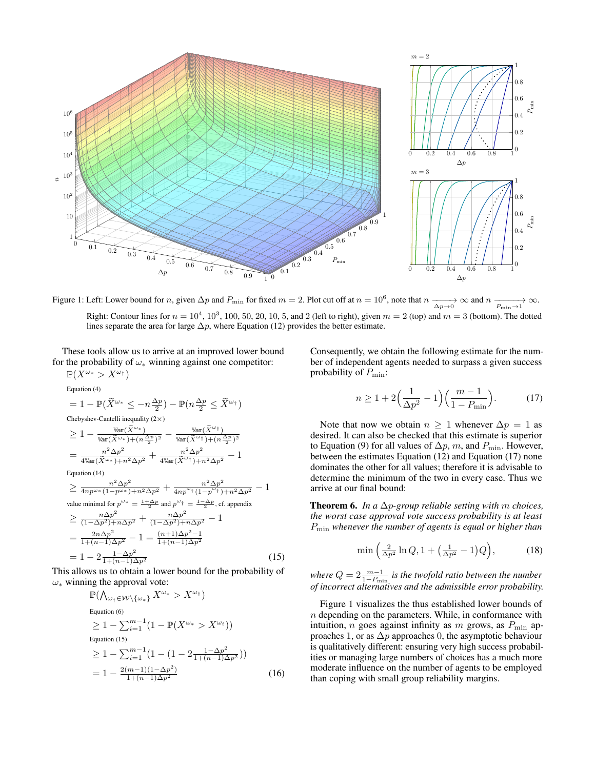<span id="page-6-2"></span>

Figure 1: Left: Lower bound for *n*, given  $\Delta p$  and  $P_{\min}$  for fixed  $m = 2$ . Plot cut off at  $n = 10^6$ , note that  $n \xrightarrow[\Delta p \to 0]{} \infty$  and  $n \xrightarrow[P_{\min} \to 1]{} \infty$ . Right: Contour lines for  $n = 10^4$ ,  $10^3$ ,  $100$ ,  $50$ ,  $20$ ,  $10$ ,  $5$ , and  $2$  (left to right), given  $m = 2$  (top) and  $m = 3$  (bottom). The dotted lines separate the area for large  $\Delta p$ , where Equation [\(12\)](#page-5-1) provides the better estimate.

These tools allow us to arrive at an improved lower bound for the probability of  $\omega_*$  winning against one competitor:  $m(xw)$  $\mathbf{v}\omega_{\pm}$ 

$$
\mathbb{P}(X^{**} > X^{**})
$$
  
\nEquation (4)  
\n
$$
= 1 - \mathbb{P}(\widetilde{X}^{\omega*} \leq -n\frac{\Delta p}{2}) - \mathbb{P}(n\frac{\Delta p}{2} \leq \widetilde{X}^{\omega*})
$$
  
\nChebyshev-Cantelli inequality (2×)  
\n
$$
\geq 1 - \frac{\text{Var}(\widetilde{X}^{\omega*})}{\text{Var}(\widetilde{X}^{\omega*}) + (n\frac{\Delta p}{2})^2} - \frac{\text{Var}(\widetilde{X}^{\omega*})}{\text{Var}(\widetilde{X}^{\omega*}) + (n\frac{\Delta p}{2})^2}
$$
  
\n
$$
= \frac{n^2 \Delta p^2}{4 \text{Var}(\widetilde{X}^{\omega*}) + n^2 \Delta p^2} + \frac{n^2 \Delta p^2}{4 \text{Var}(\widetilde{X}^{\omega*}) + n^2 \Delta p^2} - 1
$$
  
\nEquation (14)  
\n
$$
\geq \frac{n^2 \Delta p^2}{4np^{\omega*} (1-p^{\omega*}) + n^2 \Delta p^2} + \frac{n^2 \Delta p^2}{4np^{\omega*} (1-p^{\omega*}) + n^2 \Delta p^2} - 1
$$
  
\nvalue minimal for  $p^{\omega*} = \frac{1+\Delta p}{1}$  and  $p^{\omega*} = \frac{1-\Delta p}{2}$ , cf. appendix  
\n
$$
\geq \frac{n \Delta p^2}{(1-\Delta p^2) + n \Delta p^2} + \frac{n \Delta p^2}{(1-\Delta p^2) + n \Delta p^2} - 1
$$
  
\n
$$
= \frac{2n \Delta p^2}{1+(n-1)\Delta p^2} - 1 = \frac{(n+1)\Delta p^2 - 1}{1+(n-1)\Delta p^2}
$$
  
\n
$$
= 1 - 2\frac{1-\Delta p^2}{1+(n-1)\Delta p^2}
$$
 (15)

This allows us to obtain a lower bound for the probability of  $\omega_*$  winning the approval vote:

$$
\mathbb{P}(\bigwedge_{\omega_{\dagger} \in \mathcal{W} \setminus \{\omega_{*}\}} X^{\omega_{*}} > X^{\omega_{\dagger}})
$$
  
\nEquation (6)  
\n
$$
\geq 1 - \sum_{i=1}^{m-1} (1 - \mathbb{P}(X^{\omega_{*}} > X^{\omega_{i}}))
$$
  
\nEquation (15)  
\n
$$
\geq 1 - \sum_{i=1}^{m-1} (1 - (1 - 2 \frac{1 - \Delta p^{2}}{1 + (n - 1)\Delta p^{2}}))
$$
  
\n
$$
= 1 - \frac{2(m-1)(1 - \Delta p^{2})}{1 + (n-1)\Delta p^{2}}
$$
 (16)

Consequently, we obtain the following estimate for the number of independent agents needed to surpass a given success probability of  $P_{\text{min}}$ :

<span id="page-6-1"></span>
$$
n \ge 1 + 2\left(\frac{1}{\Delta p^2} - 1\right)\left(\frac{m-1}{1 - P_{\min}}\right). \tag{17}
$$

Note that now we obtain  $n \geq 1$  whenever  $\Delta p = 1$  as desired. It can also be checked that this estimate is superior to Equation [\(9\)](#page-4-4) for all values of  $\Delta p$ , m, and  $P_{\min}$ . However, between the estimates Equation [\(12\)](#page-5-1) and Equation [\(17\)](#page-6-1) none dominates the other for all values; therefore it is advisable to determine the minimum of the two in every case. Thus we arrive at our final bound:

Theorem 6. *In a* ∆p*-group reliable setting with* m *choices, the worst case approval vote success probability is at least* Pmin *whenever the number of agents is equal or higher than*

$$
\min\left(\frac{2}{\Delta p^2}\ln Q, 1 + \left(\frac{1}{\Delta p^2} - 1\right)Q\right),\tag{18}
$$

<span id="page-6-0"></span>*where*  $Q = 2 \frac{m-1}{1-P_{\text{min}}}$  *is the twofold ratio between the number of incorrect alternatives and the admissible error probability.*

Figure [1](#page-6-2) visualizes the thus established lower bounds of  $n$  depending on the parameters. While, in conformance with intuition, *n* goes against infinity as *m* grows, as  $P_{\text{min}}$  approaches 1, or as  $\Delta p$  approaches 0, the asymptotic behaviour is qualitatively different: ensuring very high success probabilities or managing large numbers of choices has a much more moderate influence on the number of agents to be employed than coping with small group reliability margins.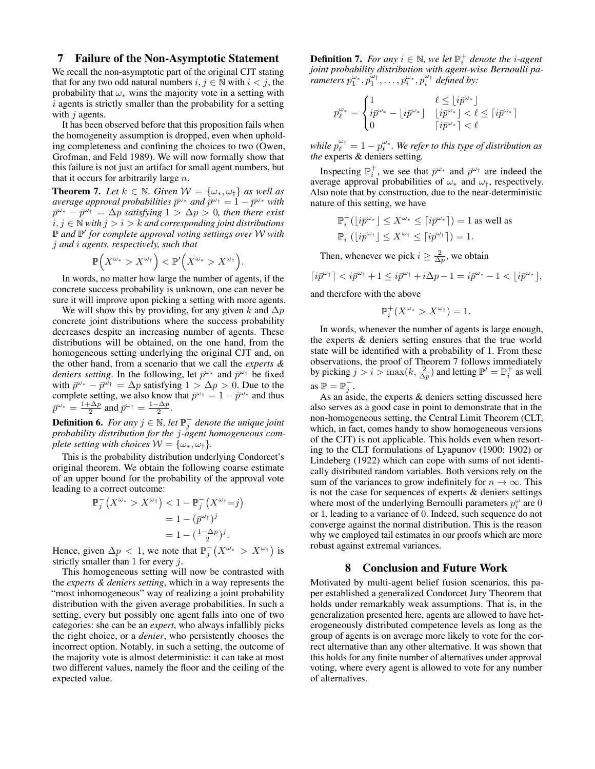### <span id="page-7-0"></span>7 Failure of the Non-Asymptotic Statement

We recall the non-asymptotic part of the original CJT stating that for any two odd natural numbers  $i, j \in \mathbb{N}$  with  $i < j$ , the probability that  $\omega_*$  wins the majority vote in a setting with i agents is strictly smaller than the probability for a setting with  $i$  agents.

It has been observed before that this proposition fails when the homogeneity assumption is dropped, even when upholding completeness and confining the choices to two [\(Owen,](#page-9-9) [Grofman, and Feld 1989\)](#page-9-9). We will now formally show that this failure is not just an artifact for small agent numbers, but that it occurs for arbitrarily large  $n$ .

<span id="page-7-1"></span>**Theorem 7.** Let  $k \in \mathbb{N}$ . Given  $\mathcal{W} = {\omega_*, \omega_1}$  *as well as*  $a$ verage approval probabilities  $\bar{p}^{\omega_*}$  and  $\bar{p}^{\omega_\dagger} = 1 - \bar{p}^{\omega_*}$  with  $\bar{p}^{\omega_*} - \bar{p}^{\omega_{\dagger}} = \Delta p$  satisfying  $1 > \Delta p > 0$ , then there exist  $i, j ∈ ℕ$  *with*  $j > i > k$  *and corresponding joint distributions* P *and* P ′ *for complete approval voting settings over* W *with* j *and* i *agents, respectively, such that*

$$
\mathbb{P}\Big(X^{\omega_*} > X^{\omega_{\dagger}}\Big) < \mathbb{P}'\Big(X^{\omega_*} > X^{\omega_{\dagger}}\Big).
$$

In words, no matter how large the number of agents, if the concrete success probability is unknown, one can never be sure it will improve upon picking a setting with more agents.

We will show this by providing, for any given k and  $\Delta p$ concrete joint distributions where the success probability decreases despite an increasing number of agents. These distributions will be obtained, on the one hand, from the homogeneous setting underlying the original CJT and, on the other hand, from a scenario that we call the *experts & deniers setting*. In the following, let  $\bar{p}^{\omega_*}$  and  $\bar{p}^{\omega_{\dagger}}$  be fixed with  $\bar{p}^{\omega_*} - \bar{p}^{\omega_{\dagger}} = \Delta p$  satisfying  $1 > \Delta p > 0$ . Due to the complete setting, we also know that  $\bar{p}^{\omega_{\dagger}} = 1 - \bar{p}^{\omega_{*}}$  and thus  $\bar{p}^{\omega*} = \frac{1+\Delta p}{2}$  and  $\bar{p}^{\omega\dagger} = \frac{1-\Delta p}{2}$ .

**Definition 6.** For any  $j \in \mathbb{N}$ , let  $\mathbb{P}_{j}^{-}$  denote the unique joint *probability distribution for the* j*-agent homogeneous complete setting with choices*  $W = {\omega_*, \omega_{\dagger}}$ .

This is the probability distribution underlying Condorcet's original theorem. We obtain the following coarse estimate of an upper bound for the probability of the approval vote leading to a correct outcome:

$$
\mathbb{P}_j^-(X^{\omega_*} > X^{\omega_\dagger}) < 1 - \mathbb{P}_j^-(X^{\omega_\dagger} = j) \\
= 1 - (\bar{p}^{\omega_\dagger})^j \\
= 1 - \left(\frac{1 - \Delta p}{2}\right)^j.
$$

Hence, given  $\Delta p < 1$ , we note that  $\mathbb{P}_{j}^{-}(X^{\omega_{*}} > X^{\omega_{\dagger}})$  is strictly smaller than 1 for every  $j$ .

This homogeneous setting will now be contrasted with the *experts & deniers setting*, which in a way represents the "most inhomogeneous" way of realizing a joint probability distribution with the given average probabilities. In such a setting, every but possibly one agent falls into one of two categories: she can be an *expert*, who always infallibly picks the right choice, or a *denier*, who persistently chooses the incorrect option. Notably, in such a setting, the outcome of the majority vote is almost deterministic: it can take at most two different values, namely the floor and the ceiling of the expected value.

**Definition 7.** For any  $i \in \mathbb{N}$ , we let  $\mathbb{P}_i^+$  denote the *i*-agent *joint probability distribution with agent-wise Bernoulli pa* $r^{\omega}$  *rameters*  $p_1^{\omega_1}, p_1^{\omega_1}, \ldots, p_i^{\omega_i}, p_i^{\omega_1}$  *defined by:* 

$$
p_{\ell}^{\omega_*} = \begin{cases} 1 & \ell \leq \lfloor i\bar p^{\omega_*} \rfloor \\ i\bar p^{\omega_*} - \lfloor i\bar p^{\omega_*} \rfloor & \lfloor i\bar p^{\omega_*} \rfloor < \ell \leq \lceil i\bar p^{\omega_*} \rceil \\ 0 & \lceil i\bar p^{\omega_*} \rceil < \ell \end{cases}
$$

while  $p_{\ell}^{\omega_{\dagger}}=1-p_{\ell}^{\omega_{\ast}}.$  We refer to this type of distribution as *the* experts & deniers setting*.*

Inspecting  $\mathbb{P}_i^+$ , we see that  $\bar{p}^{\omega_*}$  and  $\bar{p}^{\omega_+}$  are indeed the average approval probabilities of  $\omega_*$  and  $\omega_{\dagger}$ , respectively. Also note that by construction, due to the near-deterministic nature of this setting, we have

$$
\begin{aligned} &\mathbb{P}^+_i\big(\lfloor i\bar p^{\omega_*}\rfloor\le X^{\omega_*}\le \lceil i\bar p^{\omega_*}\rceil\big)=1\text{ as well as}\\ &\mathbb{P}^+_i\big(\lfloor i\bar p^{\omega_\dagger}\rfloor\le X^{\omega_\dagger}\le \lceil i\bar p^{\omega_\dagger}\rceil\big)=1. \end{aligned}
$$

Then, whenever we pick  $i \geq \frac{2}{\Delta p}$ , we obtain

 $\lceil i\bar{p}^{\omega_{\dagger}}\rceil < i\bar{p}^{\omega_{\dagger}} + 1 \leq i\bar{p}^{\omega_{\dagger}} + i\Delta p - 1 = i\bar{p}^{\omega_{\ast}} - 1 < \lfloor i\bar{p}^{\omega_{\ast}} \rfloor,$ 

and therefore with the above

 $\mathbb{P}_{i}^{+}(X^{\omega_{*}} > X^{\omega_{\dagger}}) = 1.$ 

In words, whenever the number of agents is large enough, the experts & deniers setting ensures that the true world state will be identified with a probability of 1. From these observations, the proof of Theorem [7](#page-7-1) follows immediately by picking  $j > i > \max(k, \frac{2}{\Delta p})$  and letting  $\mathbb{P}' = \mathbb{P}_i^+$  as well as  $\mathbb{P} = \mathbb{P}_j^-$ .

As an aside, the experts & deniers setting discussed here also serves as a good case in point to demonstrate that in the non-homogeneous setting, the Central Limit Theorem (CLT, which, in fact, comes handy to show homogeneous versions of the CJT) is not applicable. This holds even when resorting to the CLT formulations of Lyapunov [\(1900;](#page-9-20) [1902\)](#page-9-21) or Lindeberg [\(1922\)](#page-9-22) which can cope with sums of not identically distributed random variables. Both versions rely on the sum of the variances to grow indefinitely for  $n \to \infty$ . This is not the case for sequences of experts & deniers settings where most of the underlying Bernoulli parameters  $p_i^{\omega}$  are 0 or 1, leading to a variance of 0. Indeed, such sequence do not converge against the normal distribution. This is the reason why we employed tail estimates in our proofs which are more robust against extremal variances.

### 8 Conclusion and Future Work

Motivated by multi-agent belief fusion scenarios, this paper established a generalized Condorcet Jury Theorem that holds under remarkably weak assumptions. That is, in the generalization presented here, agents are allowed to have heterogeneously distributed competence levels as long as the group of agents is on average more likely to vote for the correct alternative than any other alternative. It was shown that this holds for any finite number of alternatives under approval voting, where every agent is allowed to vote for any number of alternatives.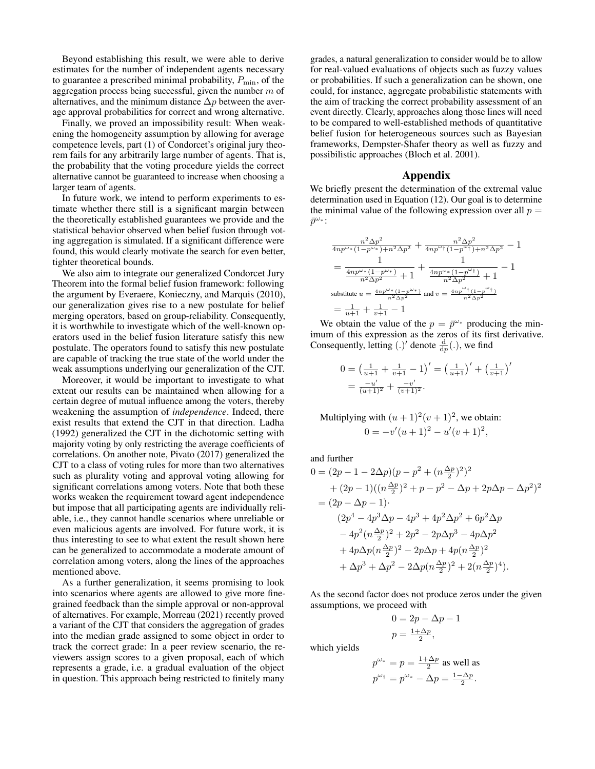Beyond establishing this result, we were able to derive estimates for the number of independent agents necessary to guarantee a prescribed minimal probability,  $P_{\text{min}}$ , of the aggregation process being successful, given the number  $m$  of alternatives, and the minimum distance  $\Delta p$  between the average approval probabilities for correct and wrong alternative.

Finally, we proved an impossibility result: When weakening the homogeneity assumption by allowing for average competence levels, part (1) of Condorcet's original jury theorem fails for any arbitrarily large number of agents. That is, the probability that the voting procedure yields the correct alternative cannot be guaranteed to increase when choosing a larger team of agents.

In future work, we intend to perform experiments to estimate whether there still is a significant margin between the theoretically established guarantees we provide and the statistical behavior observed when belief fusion through voting aggregation is simulated. If a significant difference were found, this would clearly motivate the search for even better, tighter theoretical bounds.

We also aim to integrate our generalized Condorcet Jury Theorem into the formal belief fusion framework: following the argument by [Everaere, Konieczny, and Marquis](#page-9-7) [\(2010\)](#page-9-7), our generalization gives rise to a new postulate for belief merging operators, based on group-reliability. Consequently, it is worthwhile to investigate which of the well-known operators used in the belief fusion literature satisfy this new postulate. The operators found to satisfy this new postulate are capable of tracking the true state of the world under the weak assumptions underlying our generalization of the CJT.

Moreover, it would be important to investigate to what extent our results can be maintained when allowing for a certain degree of mutual influence among the voters, thereby weakening the assumption of *independence*. Indeed, there exist results that extend the CJT in that direction. [Ladha](#page-9-23) [\(1992\)](#page-9-23) generalized the CJT in the dichotomic setting with majority voting by only restricting the average coefficients of correlations. On another note, [Pivato](#page-9-24) [\(2017\)](#page-9-24) generalized the CJT to a class of voting rules for more than two alternatives such as plurality voting and approval voting allowing for significant correlations among voters. Note that both these works weaken the requirement toward agent independence but impose that all participating agents are individually reliable, i.e., they cannot handle scenarios where unreliable or even malicious agents are involved. For future work, it is thus interesting to see to what extent the result shown here can be generalized to accommodate a moderate amount of correlation among voters, along the lines of the approaches mentioned above.

As a further generalization, it seems promising to look into scenarios where agents are allowed to give more finegrained feedback than the simple approval or non-approval of alternatives. For example, [Morreau](#page-9-25) [\(2021\)](#page-9-25) recently proved a variant of the CJT that considers the aggregation of grades into the median grade assigned to some object in order to track the correct grade: In a peer review scenario, the reviewers assign scores to a given proposal, each of which represents a grade, i.e. a gradual evaluation of the object in question. This approach being restricted to finitely many

grades, a natural generalization to consider would be to allow for real-valued evaluations of objects such as fuzzy values or probabilities. If such a generalization can be shown, one could, for instance, aggregate probabilistic statements with the aim of tracking the correct probability assessment of an event directly. Clearly, approaches along those lines will need to be compared to well-established methods of quantitative belief fusion for heterogeneous sources such as Bayesian frameworks, Dempster-Shafer theory as well as fuzzy and possibilistic approaches [\(Bloch et al. 2001\)](#page-9-26).

### Appendix

We briefly present the determination of the extremal value determination used in Equation [\(12\)](#page-5-1). Our goal is to determine the minimal value of the following expression over all  $p =$  $\bar{p}^{\omega_*}$ :

$$
\frac{n^2 \Delta p^2}{4np^{\omega*} (1-p^{\omega*})+n^2 \Delta p^2} + \frac{n^2 \Delta p^2}{4np^{\omega*} (1-p^{\omega*})+n^2 \Delta p^2} - 1
$$
\n
$$
= \frac{1}{\frac{4np^{\omega*} (1-p^{\omega*})}{n^2 \Delta p^2} + 1} + \frac{1}{\frac{4np^{\omega*} (1-p^{\omega*})}{n^2 \Delta p^2} + 1} - 1
$$
\nsubstitute  $u = \frac{4np^{\omega*} (1-p^{\omega*})}{n^2 \Delta p^2}$  and  $v = \frac{4np^{\omega*} (1-p^{\omega*})}{n^2 \Delta p^2}$ \n
$$
= \frac{1}{u+1} + \frac{1}{v+1} - 1
$$

We obtain the value of the  $p = \bar{p}^{\omega_*}$  producing the minimum of this expression as the zeros of its first derivative. Consequently, letting  $(.)'$  denote  $\frac{d}{dp}(.)$ , we find

$$
0 = \left(\frac{1}{u+1} + \frac{1}{v+1} - 1\right)' = \left(\frac{1}{u+1}\right)' + \left(\frac{1}{v+1}\right)'
$$
  
= 
$$
\frac{-u'}{(u+1)^2} + \frac{-v'}{(v+1)^2}.
$$

Multiplying with  $(u + 1)^2(v + 1)^2$ , we obtain:  $0 = -v'(u+1)^2 - u'(v+1)^2,$ 

and further

$$
0 = (2p - 1 - 2\Delta p)(p - p^2 + (n\frac{\Delta p}{2})^2)^2
$$
  
+  $(2p - 1)((n\frac{\Delta p}{2})^2 + p - p^2 - \Delta p + 2p\Delta p - \Delta p^2)^2$   
=  $(2p - \Delta p - 1)$ .  
 $(2p^4 - 4p^3\Delta p - 4p^3 + 4p^2\Delta p^2 + 6p^2\Delta p$   
 $- 4p^2(n\frac{\Delta p}{2})^2 + 2p^2 - 2p\Delta p^3 - 4p\Delta p^2$   
+  $4p\Delta p(n\frac{\Delta p}{2})^2 - 2p\Delta p + 4p(n\frac{\Delta p}{2})^2$   
+  $\Delta p^3 + \Delta p^2 - 2\Delta p(n\frac{\Delta p}{2})^2 + 2(n\frac{\Delta p}{2})^4$ .

As the second factor does not produce zeros under the given assumptions, we proceed with

$$
0 = 2p - \Delta p - 1
$$
  

$$
p = \frac{1 + \Delta p}{2},
$$

which yields

$$
p^{\omega_*} = p = \frac{1 + \Delta p}{2}
$$
 as well as  

$$
p^{\omega_{\dagger}} = p^{\omega_*} - \Delta p = \frac{1 - \Delta p}{2}.
$$